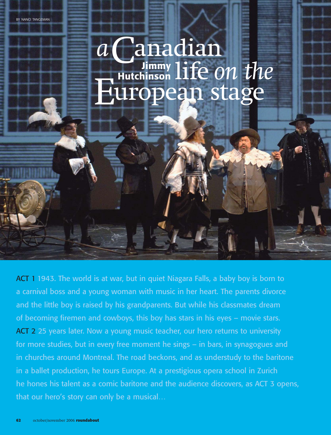a Canadian Fundalistic on the **Hutchinson**

ACT 1 1943. The world is at war, but in quiet Niagara Falls, a baby boy is born to a carnival boss and a young woman with music in her heart. The parents divorce and the little boy is raised by his grandparents. But while his classmates dream of becoming firemen and cowboys, this boy has stars in his eyes – movie stars. ACT 2 25 years later. Now a young music teacher, our hero returns to university for more studies, but in every free moment he sings – in bars, in synagogues and in churches around Montreal. The road beckons, and as understudy to the baritone in a ballet production, he tours Europe. At a prestigious opera school in Zurich he hones his talent as a comic baritone and the audience discovers, as ACT 3 opens, that our hero's story can only be a musical…

BY NANCI TANGEMAN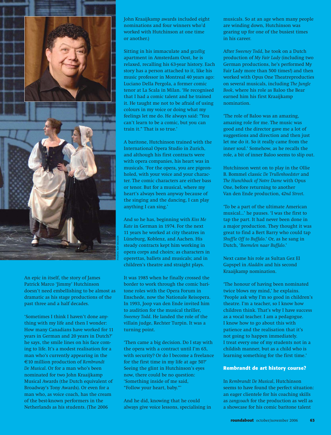

An epic in itself, the story of James Patrick Marco 'Jimmy' Hutchinson doesn't need embellishing to be almost as dramatic as his stage productions of the past three and a half decades.

'Sometimes I think I haven't done anything with my life and then I wonder: How many Canadians have worked for 11 years in German and 20 years in Dutch?' he says, the smile lines on his face coming to life. It's a modest realisation for a man who's currently appearing in the €10 million production of *Rembrandt De Musical*. Or for a man who's been nominated for two John Kraaijkamp Musical Awards (the Dutch equivalent of Broadway's Tony Awards). Or even for a man who, as voice coach, has the cream of the best-known performers in the Netherlands as his students. (The 2006

John Kraaijkamp awards included eight nominations and four winners who'd worked with Hutchinson at one time or another.)

Sitting in his immaculate and *gezellig* apartment in Amsterdam Oost, he is relaxed, recalling his 63-year history. Each story has a person attached to it, like his music professor in Montreal 40 years ago: Luciano Della Pergola, a former comic tenor at La Scala in Milan. 'He recognised that I had a comic talent and he trained it. He taught me not to be afraid of using colours in my voice or doing what my feelings let me do. He always said: "You can't learn to be a comic, but you can train it." That is so true.'

A baritone, Hutchinson trained with the International Opera Studio in Zurich, and although his first contracts were with opera companies, his heart was in musicals. 'For the opera, you are pigeonholed, with your voice and your character. The comic characters are either bass or tenor. But for a musical, where my heart's always been anyway because of the singing and the dancing, I can play anything I can sing.'

And so he has, beginning with *Kiss Me Kate* in German in 1974. For the next 11 years he worked at city theatres in Lüneburg, Koblenz, and Aachen. His steady contracts kept him working in opera corps and choirs; as characters in operettas, ballets and musicals; and in children's theatre and straight plays.

It was 1985 when he finally crossed the border to work through the comic baritone roles with the Opera Forum in Enschede, now the Nationale Reisopera. In 1993, Joop van den Ende invited him to audition for the musical thriller, *Sweeney Todd*. He landed the role of the villain judge, Rechter Turpin. It was a turning point.

'Then came a big decision. Do I stay with the opera with a contract until I'm 65, with security? Or do I become a freelance for the first time in my life at age 50?' Seeing the glint in Hutchinson's eyes now, there could be no question: 'Something inside of me said, "Follow your heart, baby."'

And he did, knowing that he could always give voice lessons, specialising in musicals. So at an age when many people are winding down, Hutchinson was gearing up for one of the busiest times in his career.

After *Sweeney Todd*, he took on a Dutch production of *My Fair Lady* (including two German productions, he's performed My Fair Lady more than 500 times!) and then worked with Opus One Theatreproducties on several musicals, including *The Jungle Book*, where his role as Baloo the Bear earned him his first Kraaijkamp nomination.

'The role of Baloo was an amazing, amazing role for me. The music was good and the director gave me a lot of suggestions and direction and then just let me do it. So it really came from the inner soul.' Somehow, as he recalls the role, a bit of inner Baloo seems to slip out.

Hutchinson went on to play in the Ollie B. Bommel classic *De Trullenhoedster* and *The Hunchback of Notre Dame* with Opus One, before returning to another Van den Ende production, *42nd Street*.

'To be a part of the ultimate American musical…' he pauses. 'I was the first to tap the part. It had never been done in a major production. They thought it was great to find a Bert Barry who could tap *Shuffle Off to Buffalo*.' Or, as he sang in Dutch, '*Boemelen naar Buffalo*.'

Next came his role as Sultan Gez El Gapspel in *Aladdin* and his second Kraaijkamp nomination.

'The honour of having been nominated twice blows my mind,' he explains. 'People ask why I'm so good in children's theatre. I'm a teacher, so I know how children think. That's why I have success as a vocal teacher. I am a pedagogue. I know how to go about this with patience and the realisation that it's not going to happen immediately. I treat every one of my students not in a childish manner, but as a child who is learning something for the first time.'

## **Rembrandt de art history course?**

In *Rembrandt De Musical*, Hutchinson seems to have found the perfect situation: an eager clientele for his coaching skills as *zangcoach* for the production as well as a showcase for his comic baritone talent